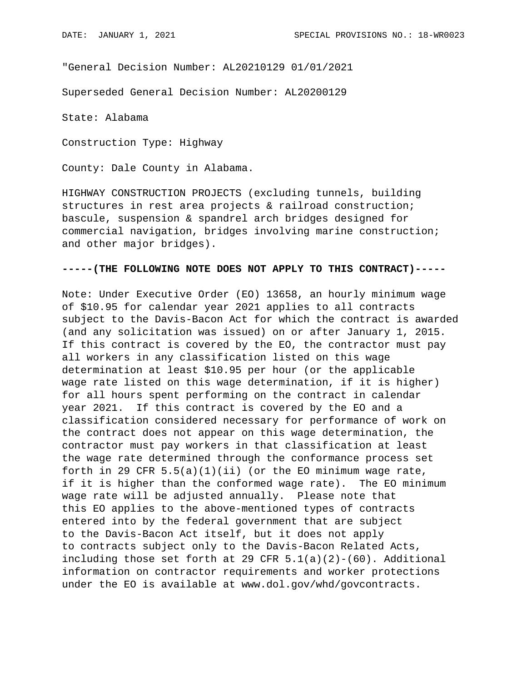"General Decision Number: AL20210129 01/01/2021

Superseded General Decision Number: AL20200129

State: Alabama

Construction Type: Highway

County: Dale County in Alabama.

HIGHWAY CONSTRUCTION PROJECTS (excluding tunnels, building structures in rest area projects & railroad construction; bascule, suspension & spandrel arch bridges designed for commercial navigation, bridges involving marine construction; and other major bridges).

## **-----(THE FOLLOWING NOTE DOES NOT APPLY TO THIS CONTRACT)-----**

Note: Under Executive Order (EO) 13658, an hourly minimum wage of \$10.95 for calendar year 2021 applies to all contracts subject to the Davis-Bacon Act for which the contract is awarded (and any solicitation was issued) on or after January 1, 2015. If this contract is covered by the EO, the contractor must pay all workers in any classification listed on this wage determination at least \$10.95 per hour (or the applicable wage rate listed on this wage determination, if it is higher) for all hours spent performing on the contract in calendar year 2021. If this contract is covered by the EO and a classification considered necessary for performance of work on the contract does not appear on this wage determination, the contractor must pay workers in that classification at least the wage rate determined through the conformance process set forth in 29 CFR  $5.5(a)(1)(ii)$  (or the EO minimum wage rate, if it is higher than the conformed wage rate). The EO minimum wage rate will be adjusted annually. Please note that this EO applies to the above-mentioned types of contracts entered into by the federal government that are subject to the Davis-Bacon Act itself, but it does not apply to contracts subject only to the Davis-Bacon Related Acts, including those set forth at 29 CFR  $5.1(a)(2)-(60)$ . Additional information on contractor requirements and worker protections under the EO is available at www.dol.gov/whd/govcontracts.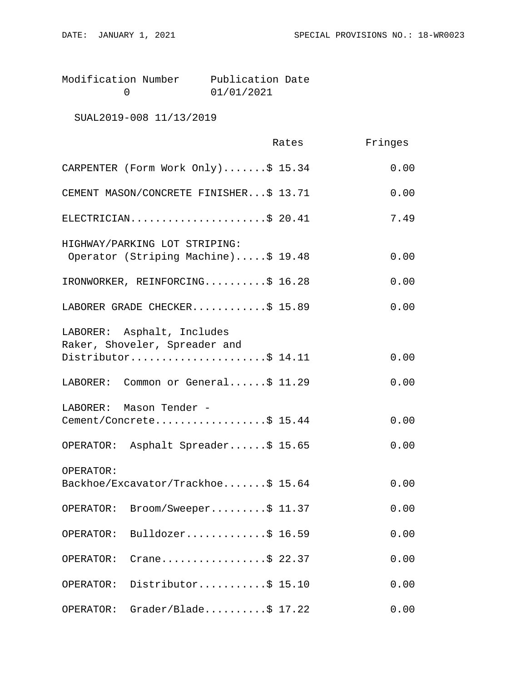| Modification Number | Publication Date |  |
|---------------------|------------------|--|
|                     | 01/01/2021       |  |

SUAL2019-008 11/13/2019

|                                                                                    | Rates | Fringes |
|------------------------------------------------------------------------------------|-------|---------|
| CARPENTER (Form Work Only)\$ 15.34                                                 |       | 0.00    |
| CEMENT MASON/CONCRETE FINISHER\$ 13.71                                             |       | 0.00    |
| ELECTRICIAN\$ 20.41                                                                |       | 7.49    |
| HIGHWAY/PARKING LOT STRIPING:<br>Operator (Striping Machine)\$ 19.48               |       | 0.00    |
| IRONWORKER, REINFORCING\$ 16.28                                                    |       | 0.00    |
| LABORER GRADE CHECKER\$ 15.89                                                      |       | 0.00    |
| LABORER: Asphalt, Includes<br>Raker, Shoveler, Spreader and<br>Distributor\$ 14.11 |       | 0.00    |
|                                                                                    |       |         |
| LABORER: Common or General\$ 11.29                                                 |       | 0.00    |
| LABORER: Mason Tender -<br>Cement/Concrete\$ 15.44                                 |       | 0.00    |
| OPERATOR: Asphalt Spreader\$ 15.65                                                 |       | 0.00    |
| OPERATOR:<br>Backhoe/Excavator/Trackhoe\$ 15.64                                    |       | 0.00    |
| Broom/Sweeper\$ 11.37<br>OPERATOR:                                                 |       | 0.00    |
| Bulldozer\$ 16.59<br>OPERATOR:                                                     |       | 0.00    |
| Crane\$ 22.37<br>OPERATOR:                                                         |       | 0.00    |
| Distributor\$ 15.10<br>OPERATOR:                                                   |       | 0.00    |
| $Grader/Blade \ldots$ . \$ 17.22<br>OPERATOR:                                      |       | 0.00    |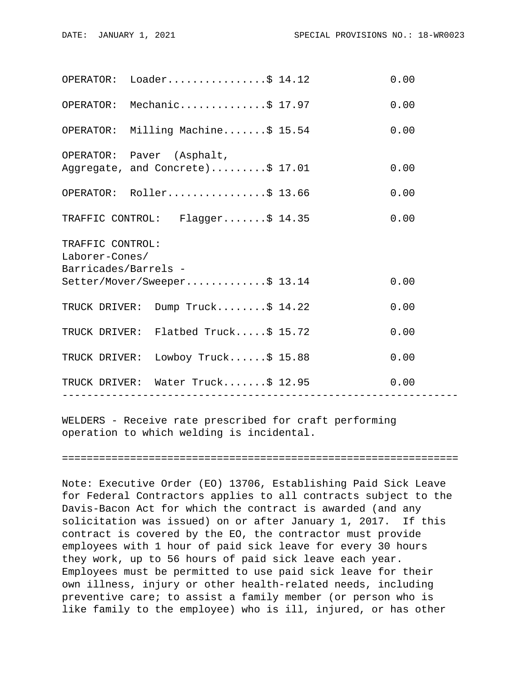|                                                            | $OPERATOR: Loader.$ 5 14.12                                   |                 | 0.00 |  |  |
|------------------------------------------------------------|---------------------------------------------------------------|-----------------|------|--|--|
|                                                            | OPERATOR: Mechanic\$ 17.97                                    |                 | 0.00 |  |  |
|                                                            | OPERATOR: Milling Machine\$ 15.54                             |                 | 0.00 |  |  |
|                                                            | OPERATOR: Paver (Asphalt,<br>Aggregate, and Concrete)\$ 17.01 |                 | 0.00 |  |  |
|                                                            | OPERATOR: Roller\$ 13.66                                      |                 | 0.00 |  |  |
|                                                            | TRAFFIC CONTROL: Flagger\$ 14.35                              |                 | 0.00 |  |  |
| TRAFFIC CONTROL:<br>Laborer-Cones/<br>Barricades/Barrels - |                                                               |                 |      |  |  |
|                                                            | Setter/Mover/Sweeper\$ 13.14                                  |                 | 0.00 |  |  |
|                                                            | TRUCK DRIVER: Dump Truck\$ 14.22                              |                 | 0.00 |  |  |
|                                                            | TRUCK DRIVER: Flatbed Truck\$ 15.72                           |                 | 0.00 |  |  |
|                                                            | TRUCK DRIVER: Lowboy Truck\$ 15.88                            |                 | 0.00 |  |  |
|                                                            | TRUCK DRIVER: Water Truck\$ 12.95<br>----------------         | --------------- | 0.00 |  |  |
|                                                            |                                                               |                 |      |  |  |

WELDERS - Receive rate prescribed for craft performing operation to which welding is incidental.

================================================================

Note: Executive Order (EO) 13706, Establishing Paid Sick Leave for Federal Contractors applies to all contracts subject to the Davis-Bacon Act for which the contract is awarded (and any solicitation was issued) on or after January 1, 2017. If this contract is covered by the EO, the contractor must provide employees with 1 hour of paid sick leave for every 30 hours they work, up to 56 hours of paid sick leave each year. Employees must be permitted to use paid sick leave for their own illness, injury or other health-related needs, including preventive care; to assist a family member (or person who is like family to the employee) who is ill, injured, or has other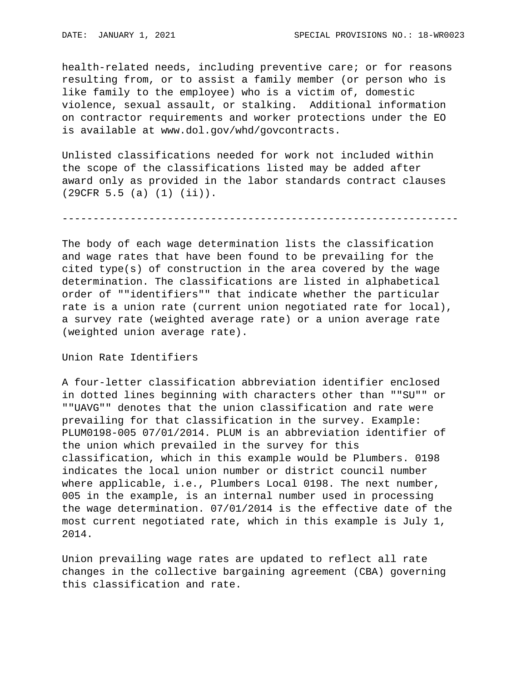health-related needs, including preventive care; or for reasons resulting from, or to assist a family member (or person who is like family to the employee) who is a victim of, domestic violence, sexual assault, or stalking. Additional information on contractor requirements and worker protections under the EO is available at www.dol.gov/whd/govcontracts.

Unlisted classifications needed for work not included within the scope of the classifications listed may be added after award only as provided in the labor standards contract clauses (29CFR 5.5 (a) (1) (ii)).

----------------------------------------------------------------

The body of each wage determination lists the classification and wage rates that have been found to be prevailing for the cited type(s) of construction in the area covered by the wage determination. The classifications are listed in alphabetical order of ""identifiers"" that indicate whether the particular rate is a union rate (current union negotiated rate for local), a survey rate (weighted average rate) or a union average rate (weighted union average rate).

Union Rate Identifiers

A four-letter classification abbreviation identifier enclosed in dotted lines beginning with characters other than ""SU"" or ""UAVG"" denotes that the union classification and rate were prevailing for that classification in the survey. Example: PLUM0198-005 07/01/2014. PLUM is an abbreviation identifier of the union which prevailed in the survey for this classification, which in this example would be Plumbers. 0198 indicates the local union number or district council number where applicable, i.e., Plumbers Local 0198. The next number, 005 in the example, is an internal number used in processing the wage determination. 07/01/2014 is the effective date of the most current negotiated rate, which in this example is July 1, 2014.

Union prevailing wage rates are updated to reflect all rate changes in the collective bargaining agreement (CBA) governing this classification and rate.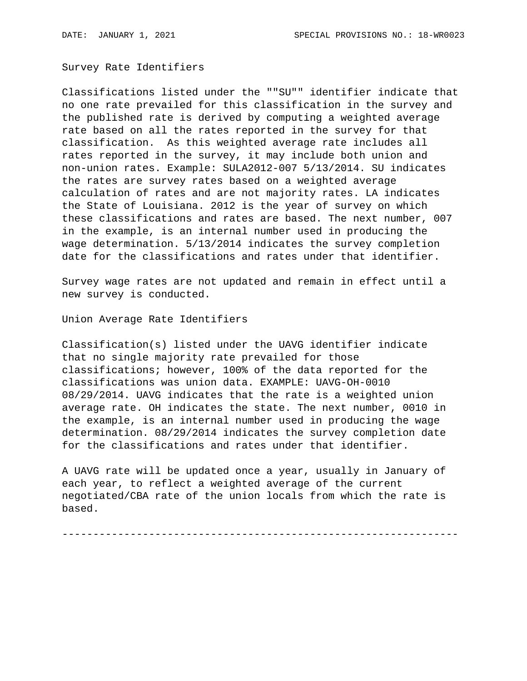Survey Rate Identifiers

Classifications listed under the ""SU"" identifier indicate that no one rate prevailed for this classification in the survey and the published rate is derived by computing a weighted average rate based on all the rates reported in the survey for that classification. As this weighted average rate includes all rates reported in the survey, it may include both union and non-union rates. Example: SULA2012-007 5/13/2014. SU indicates the rates are survey rates based on a weighted average calculation of rates and are not majority rates. LA indicates the State of Louisiana. 2012 is the year of survey on which these classifications and rates are based. The next number, 007 in the example, is an internal number used in producing the wage determination. 5/13/2014 indicates the survey completion date for the classifications and rates under that identifier.

Survey wage rates are not updated and remain in effect until a new survey is conducted.

Union Average Rate Identifiers

Classification(s) listed under the UAVG identifier indicate that no single majority rate prevailed for those classifications; however, 100% of the data reported for the classifications was union data. EXAMPLE: UAVG-OH-0010 08/29/2014. UAVG indicates that the rate is a weighted union average rate. OH indicates the state. The next number, 0010 in the example, is an internal number used in producing the wage determination. 08/29/2014 indicates the survey completion date for the classifications and rates under that identifier.

A UAVG rate will be updated once a year, usually in January of each year, to reflect a weighted average of the current negotiated/CBA rate of the union locals from which the rate is based.

----------------------------------------------------------------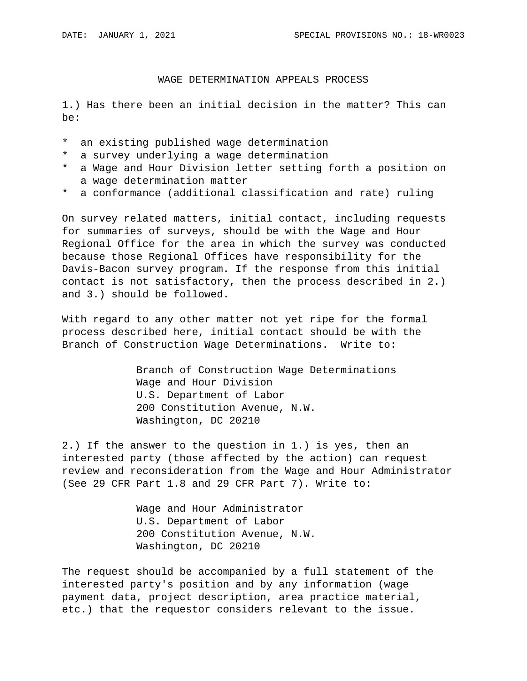## WAGE DETERMINATION APPEALS PROCESS

1.) Has there been an initial decision in the matter? This can be:

- \* an existing published wage determination
- \* a survey underlying a wage determination
- \* a Wage and Hour Division letter setting forth a position on a wage determination matter
- \* a conformance (additional classification and rate) ruling

On survey related matters, initial contact, including requests for summaries of surveys, should be with the Wage and Hour Regional Office for the area in which the survey was conducted because those Regional Offices have responsibility for the Davis-Bacon survey program. If the response from this initial contact is not satisfactory, then the process described in 2.) and 3.) should be followed.

With regard to any other matter not yet ripe for the formal process described here, initial contact should be with the Branch of Construction Wage Determinations. Write to:

> Branch of Construction Wage Determinations Wage and Hour Division U.S. Department of Labor 200 Constitution Avenue, N.W. Washington, DC 20210

2.) If the answer to the question in 1.) is yes, then an interested party (those affected by the action) can request review and reconsideration from the Wage and Hour Administrator (See 29 CFR Part 1.8 and 29 CFR Part 7). Write to:

> Wage and Hour Administrator U.S. Department of Labor 200 Constitution Avenue, N.W. Washington, DC 20210

The request should be accompanied by a full statement of the interested party's position and by any information (wage payment data, project description, area practice material, etc.) that the requestor considers relevant to the issue.